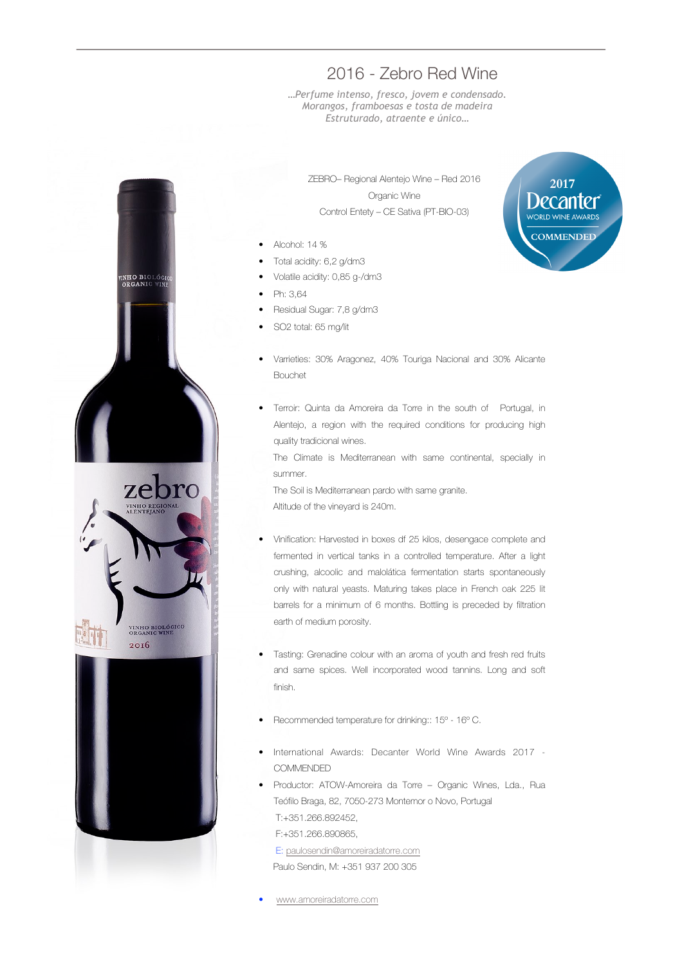## INHO BIOLÓGI<br>ORGANIC WIN zebro VINHO BIOLÓGICO<br>ORGANIC WINE 2016

## 2016 - Zebro Red Wine

*…Perfume intenso, fresco, jovem e condensado. Morangos, framboesas e tosta de madeira Estruturado, atraente e único…*

ZEBRO– Regional Alentejo Wine – Red 2016 Organic Wine Control Entety – CE Sativa (PT-BIO-03)

- Alcohol: 14 %
- Total acidity: 6,2 g/dm3
- Volatile acidity: 0,85 g-/dm3
- Ph: 3,64
- Residual Sugar: 7,8 g/dm3
- SO2 total: 65 mg/lit
- Varrieties: 30% Aragonez, 40% Touriga Nacional and 30% Alicante Bouchet
- Terroir: Quinta da Amoreira da Torre in the south of Portugal, in Alentejo, a region with the required conditions for producing high quality tradicional wines.

The Climate is Mediterranean with same continental, specially in summer.

The Soil is Mediterranean pardo with same granite. Altitude of the vineyard is 240m.

- Vinification: Harvested in boxes df 25 kilos, desengace complete and fermented in vertical tanks in a controlled temperature. After a light crushing, alcoolic and malolática fermentation starts spontaneously only with natural yeasts. Maturing takes place in French oak 225 lit barrels for a minimum of 6 months. Bottling is preceded by filtration earth of medium porosity.
- Tasting: Grenadine colour with an aroma of youth and fresh red fruits and same spices. Well incorporated wood tannins. Long and soft finish.
- Recommended temperature for drinking:: 15º 16º C.
- International Awards: Decanter World Wine Awards 2017 **COMMENDED**
- Productor: ATOW-Amoreira da Torre Organic Wines, Lda., Rua Teófilo Braga, 82, 7050-273 Montemor o Novo, Portugal T:+351.266.892452,

F:+351.266.890865,

 E: paulosendin@amoreiradatorre.com Paulo Sendin, M: +351 937 200 305

• www.amoreiradatorre.com